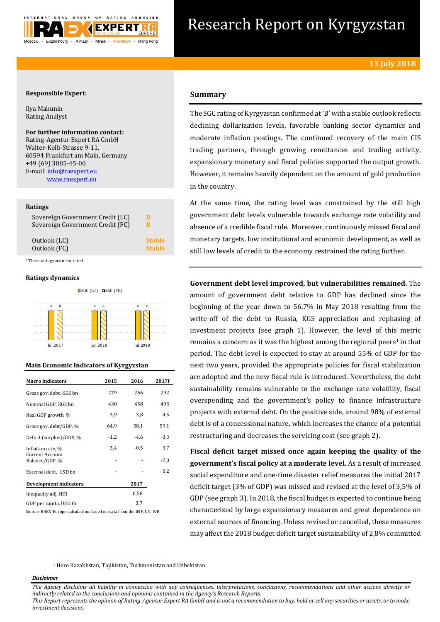

# Research Report on Kyrgyzstan

## **Responsible Expert:**

Ilya Makunin Rating Analyst

**For further information contact:** Rating-Agentur Expert RA GmbH Walter-Kolb-Strasse 9-11, 60594 Frankfurt am Main, Germany +49 (69) 3085-45-00 E-mail[: info@raexpert.eu](mailto:info@raexpert.eu) [www.raexpert.eu](http://raexpert.eu/)

#### **Ratings**

| Sovereign Government Credit (LC) | B             |
|----------------------------------|---------------|
| Sovereign Government Credit (FC) | в             |
| Outlook (LC)                     | <b>Stable</b> |
| Outlook (FC)                     | <b>Stable</b> |

\* These ratings are unsolicited

## **Ratings dynamics**





# **Main Economic Indicators of Kyrgyzstan**

| <b>Macro</b> indicators                                       | 2015   | 2016   | 2017f         |
|---------------------------------------------------------------|--------|--------|---------------|
| Gross gov. debt, KGS bn                                       | 279    | 266    | 292           |
| Nominal GDP, KGS bn                                           | 430    | 458    | 493           |
| Real GDP growth, %                                            | 3,9    | 3,8    | 4,5           |
| Gross gov. debt/GDP, %                                        | 64,9   | 58,1   | 59,1          |
| Deficit (surplus)/GDP, %                                      | $-1,2$ | $-4,6$ | $-3,3$        |
| Inflation rate, %<br><b>Current Account</b><br>Balance/GDP, % | 3,4    | $-0.5$ | 3,7<br>$-7,8$ |
| External debt, USD bn                                         |        |        | 8,2           |
| Development indicators                                        |        | 2017   |               |
| Inequality adj. HDI                                           |        | 0,58   |               |
| GDP per capita, USD th                                        |        | 3,7    |               |

Source: RAEX-Europe calculations based on data from the IMF, UN, WB

# **Summary**

The SGC rating of Kyrgyzstan confirmed at 'B' with a stable outlook reflects declining dollarization levels, favorable banking sector dynamics and moderate inflation postings. The continued recovery of the main CIS trading partners, through growing remittances and trading activity, expansionary monetary and fiscal policies supported the output growth. However, it remains heavily dependent on the amount of gold production in the country.

At the same time, the rating level was constrained by the still high government debt levels vulnerable towards exchange rate volatility and absence of a credible fiscal rule. Moreover, continuously missed fiscal and monetary targets, low institutional and economic development, as well as still low levels of credit to the economy restrained the rating further.

**Government debt level improved, but vulnerabilities remained.** The amount of government debt relative to GDP has declined since the beginning of the year down to 56,7% in May 2018 resulting from the write-off of the debt to Russia, KGS appreciation and rephasing of investment projects (see graph 1). However, the level of this metric remains a concern as it was the highest among the regional peers<sup>1</sup> in that period. The debt level is expected to stay at around 55% of GDP for the next two years, provided the appropriate policies for fiscal stabilization are adopted and the new fiscal rule is introduced. Nevertheless, the debt sustainability remains vulnerable to the exchange rate volatility, fiscal overspending and the government's policy to finance infrastructure projects with external debt. On the positive side, around 98% of external debt is of a concessional nature, which increases the chance of a potential restructuring and decreases the servicing cost (see graph 2).

**Fiscal deficit target missed once again keeping the quality of the government's fiscal policy at a moderate level.** As a result of increased social expenditure and one-time disaster relief measures the initial 2017 deficit target (3% of GDP) was missed and revised at the level of 3,5% of GDP (see graph 3). In 2018, the fiscal budget is expected to continue being characterized by large expansionary measures and great dependence on external sources of financing. Unless revised or cancelled, these measures may affect the 2018 budget deficit target sustainability of 2,8% committed

<sup>1</sup> Here Kazakhstan, Tajikistan, Turkmenistan and Uzbekistan

#### *Disclaimer*

1

*The Agency disclaims all liability in connection with any consequences, interpretations, conclusions, recommendations and other actions directly or indirectly related to the conclusions and opinions contained in the Agency's Research Reports.*

*This Report represents the opinion of Rating-Agentur Expert RA GmbH and is not a recommendation to buy, hold or sell any securities or assets, or to make investment decisions.*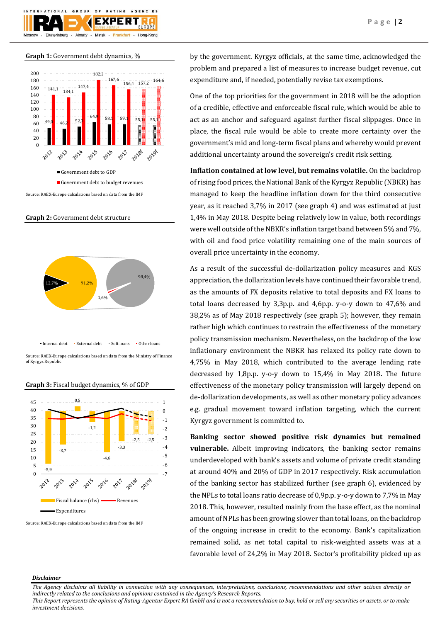

**Graph 1:** Government debt dynamics, %



**Graph 2:** Government debt structure



 $\bullet$  Internal debt  $\bullet$  External debt  $\bullet$  Soft loans  $\bullet$  Other loans

Source: RAEX-Europe calculations based on data from the Ministry of Finance of Kyrgyz Republic

#### **Graph 3:** Fiscal budget dynamics, % of GDP



Source: RAEX-Europe calculations based on data from the IMF

by the government. Kyrgyz officials, at the same time, acknowledged the problem and prepared a list of measures to increase budget revenue, cut expenditure and, if needed, potentially revise tax exemptions.

One of the top priorities for the government in 2018 will be the adoption of a credible, effective and enforceable fiscal rule, which would be able to act as an anchor and safeguard against further fiscal slippages. Once in place, the fiscal rule would be able to create more certainty over the government's mid and long-term fiscal plans and whereby would prevent additional uncertainty around the sovereign's credit risk setting.

**Inflation contained at low level, but remains volatile.** On the backdrop of rising food prices, the National Bank of the Kyrgyz Republic (NBKR) has managed to keep the headline inflation down for the third consecutive year, as it reached 3,7% in 2017 (see graph 4) and was estimated at just 1,4% in May 2018. Despite being relatively low in value, both recordings were well outside of the NBKR's inflation target band between 5% and 7%, with oil and food price volatility remaining one of the main sources of overall price uncertainty in the economy.

As a result of the successful de-dollarization policy measures and KGS appreciation, the dollarization levels have continued their favorable trend, as the amounts of FX deposits relative to total deposits and FX loans to total loans decreased by 3,3p.p. and 4,6p.p. y-o-y down to 47,6% and 38,2% as of May 2018 respectively (see graph 5); however, they remain rather high which continues to restrain the effectiveness of the monetary policy transmission mechanism. Nevertheless, on the backdrop of the low inflationary environment the NBKR has relaxed its policy rate down to 4,75% in May 2018, which contributed to the average lending rate decreased by 1,8p.p. y-o-y down to 15,4% in May 2018. The future effectiveness of the monetary policy transmission will largely depend on de-dollarization developments, as well as other monetary policy advances e.g. gradual movement toward inflation targeting, which the current Kyrgyz government is committed to.

**Banking sector showed positive risk dynamics but remained vulnerable.** Albeit improving indicators, the banking sector remains underdeveloped with bank's assets and volume of private credit standing at around 40% and 20% of GDP in 2017 respectively. Risk accumulation of the banking sector has stabilized further (see graph 6), evidenced by the NPLs to total loans ratio decrease of 0,9p.p. y-o-y down to 7,7% in May 2018. This, however, resulted mainly from the base effect, as the nominal amount of NPLs has been growing slower than total loans, on the backdrop of the ongoing increase in credit to the economy. Bank's capitalization remained solid, as net total capital to risk-weighted assets was at a favorable level of 24,2% in May 2018. Sector's profitability picked up as

#### *Disclaimer*

*The Agency disclaims all liability in connection with any consequences, interpretations, conclusions, recommendations and other actions directly or indirectly related to the conclusions and opinions contained in the Agency's Research Reports.*

*This Report represents the opinion of Rating-Agentur Expert RA GmbH and is not a recommendation to buy, hold or sell any securities or assets, or to make investment decisions.*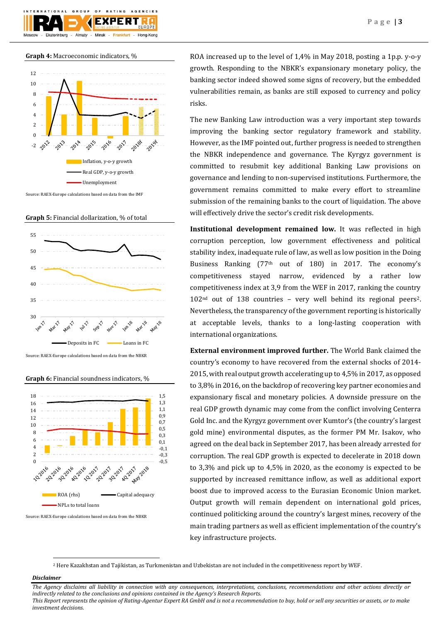



**Graph 4:** Macroeconomic indicators, %

Source: RAEX-Europe calculations based on data from the IMF

**Graph 5:** Financial dollarization, % of total



Source: RAEX-Europe calculations based on data from the NBKR

**Graph 6:** Financial soundness indicators, %



Source: RAEX-Europe calculations based on data from the NBKR

ROA increased up to the level of 1,4% in May 2018, posting a 1p.p. y-o-y growth. Responding to the NBKR's expansionary monetary policy, the banking sector indeed showed some signs of recovery, but the embedded vulnerabilities remain, as banks are still exposed to currency and policy risks.

The new Banking Law introduction was a very important step towards improving the banking sector regulatory framework and stability. However, as the IMF pointed out, further progress is needed to strengthen the NBKR independence and governance. The Kyrgyz government is committed to resubmit key additional Banking Law provisions on governance and lending to non-supervised institutions. Furthermore, the government remains committed to make every effort to streamline submission of the remaining banks to the court of liquidation. The above will effectively drive the sector's credit risk developments.

**Institutional development remained low.** It was reflected in high corruption perception, low government effectiveness and political stability index, inadequate rule of law, as well as low position in the Doing Business Ranking (77th out of 180) in 2017. The economy's competitiveness stayed narrow, evidenced by a rather low competitiveness index at 3,9 from the WEF in 2017, ranking the country 102nd out of 138 countries – very well behind its regional peers2. Nevertheless, the transparency of the government reporting is historically at acceptable levels, thanks to a long-lasting cooperation with international organizations.

**External environment improved further.** The World Bank claimed the country's economy to have recovered from the external shocks of 2014- 2015, with real output growth accelerating up to 4,5% in 2017, as opposed to 3,8% in 2016, on the backdrop of recovering key partner economies and expansionary fiscal and monetary policies. A downside pressure on the real GDP growth dynamic may come from the conflict involving Centerra Gold Inc. and the Kyrgyz government over Kumtor's (the country's largest gold mine) environmental disputes, as the former PM Mr. Isakov, who agreed on the deal back in September 2017, has been already arrested for corruption. The real GDP growth is expected to decelerate in 2018 down to 3,3% and pick up to 4,5% in 2020, as the economy is expected to be supported by increased remittance inflow, as well as additional export boost due to improved access to the Eurasian Economic Union market. Output growth will remain dependent on international gold prices, continued politicking around the country's largest mines, recovery of the main trading partners as well as efficient implementation of the country's key infrastructure projects.

<sup>2</sup> Here Kazakhstan and Tajikistan, as Turkmenistan and Uzbekistan are not included in the competitiveness report by WEF.

# *Disclaimer*

1

*investment decisions.*

*The Agency disclaims all liability in connection with any consequences, interpretations, conclusions, recommendations and other actions directly or indirectly related to the conclusions and opinions contained in the Agency's Research Reports. This Report represents the opinion of Rating-Agentur Expert RA GmbH and is not a recommendation to buy, hold or sell any securities or assets, or to make*